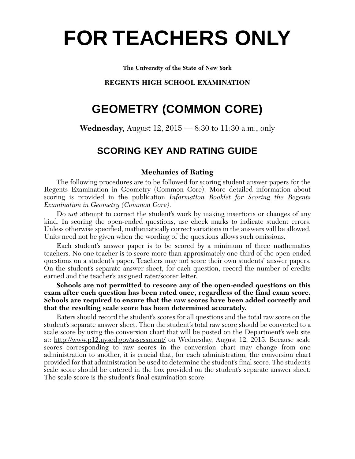# **FOR TEACHERS ONLY**

**The University of the State of New York**

# **REGENTS HIGH SCHOOL EXAMINATION**

# **GEOMETRY (COMMON CORE)**

**Wednesday,** August 12, 2015 — 8:30 to 11:30 a.m., only

# **SCORING KEY AND RATING GUIDE**

# **Mechanics of Rating**

The following procedures are to be followed for scoring student answer papers for the Regents Examination in Geometry (Common Core). More detailed information about scoring is provided in the publication *Information Booklet for Scoring the Regents Examination in Geometry (Common Core)*.

Do *not* attempt to correct the student's work by making insertions or changes of any kind. In scoring the open-ended questions, use check marks to indicate student errors. Unless otherwise specified, mathematically correct variations in the answers will be allowed. Units need not be given when the wording of the questions allows such omissions.

Each student's answer paper is to be scored by a minimum of three mathematics teachers. No one teacher is to score more than approximately one-third of the open-ended questions on a student's paper. Teachers may not score their own students' answer papers. On the student's separate answer sheet, for each question, record the number of credits earned and the teacher's assigned rater/scorer letter.

**Schools are not permitted to rescore any of the open-ended questions on this exam after each question has been rated once, regardless of the final exam score. Schools are required to ensure that the raw scores have been added correctly and that the resulting scale score has been determined accurately.**

Raters should record the student's scores for all questions and the total raw score on the student's separate answer sheet. Then the student's total raw score should be converted to a scale score by using the conversion chart that will be posted on the Department's web site at: http://www.p12.nysed.gov/assessment/ on Wednesday, August 12, 2015. Because scale scores corresponding to raw scores in the conversion chart may change from one administration to another, it is crucial that, for each administration, the conversion chart provided for that administration be used to determine the student's final score. The student's scale score should be entered in the box provided on the student's separate answer sheet. The scale score is the student's final examination score.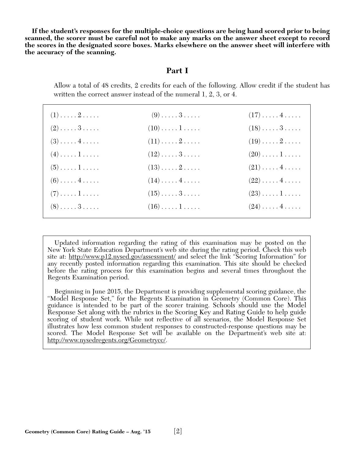**If the student's responses for the multiple-choice questions are being hand scored prior to being scanned, the scorer must be careful not to make any marks on the answer sheet except to record the scores in the designated score boxes. Marks elsewhere on the answer sheet will interfere with the accuracy of the scanning.**

# **Part I**

Allow a total of 48 credits, 2 credits for each of the following. Allow credit if the student has written the correct answer instead of the numeral 1, 2, 3, or 4.

| $(1) \ldots \ldots 2 \ldots$ | $(9) \ldots \ldots 3 \ldots$      | $(17)\ldots(4\ldots)$             |
|------------------------------|-----------------------------------|-----------------------------------|
| $(2) \ldots \ldots 3 \ldots$ | $(10) \ldots \ldots 1 \ldots$     | $(18)\ldots .3 \ldots .$          |
| $(3) \ldots \ldots 4 \ldots$ | $(11)\ldots 2 \ldots$             | $(19)\ldots 2 \ldots$             |
| $(4) \ldots \ldots 1 \ldots$ | $(12)\ldots .3 \ldots .$          | $(20)\ldots\ldots\,1\ldots\ldots$ |
| $(5) \ldots \ldots 1 \ldots$ | $(13)\ldots 2 \ldots$             | $(21)\ldots\ldots4\ldots\ldots$   |
| $(6) \ldots \ldots 4 \ldots$ | $(14)\ldots(4\ldots)$             | $(22)\ldots\ldots\,4\ldots\ldots$ |
| $(7) \ldots \ldots 1 \ldots$ | $(15)\ldots\ldots\,3\ldots\ldots$ | $(23)\ldots\ldots\,1\ldots\ldots$ |
| $(8) \ldots \ldots 3 \ldots$ | $(16)\ldots\ldots\ldots$          | $(24) \ldots \ldots 4 \ldots$     |

Updated information regarding the rating of this examination may be posted on the New York State Education Department's web site during the rating period. Check this web site at: http://www.p12.nysed.gov/assessment/ and select the link "Scoring Information" for any recently posted information regarding this examination. This site should be checked before the rating process for this examination begins and several times throughout the Regents Examination period.

Beginning in June 2015, the Department is providing supplemental scoring guidance, the "Model Response Set," for the Regents Examination in Geometry (Common Core). This guidance is intended to be part of the scorer training. Schools should use the Model Response Set along with the rubrics in the Scoring Key and Rating Guide to help guide scoring of student work. While not reflective of all scenarios, the Model Response Set illustrates how less common student responses to constructed-response questions may be scored. The Model Response Set will be available on the Department's web site at: http://www.nysedregents.org/Geometrycc/.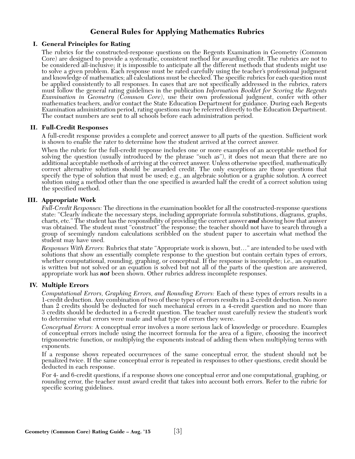# **General Rules for Applying Mathematics Rubrics**

## **I. General Principles for Rating**

The rubrics for the constructed-response questions on the Regents Examination in Geometry (Common Core) are designed to provide a systematic, consistent method for awarding credit. The rubrics are not to be considered all-inclusive; it is impossible to anticipate all the different methods that students might use to solve a given problem. Each response must be rated carefully using the teacher's professional judgment and knowledge of mathematics; all calculations must be checked. The specific rubrics for each question must be applied consistently to all responses. In cases that are not specifically addressed in the rubrics, raters must follow the general rating guidelines in the publication *Information Booklet for Scoring the Regents Examination in Geometry (Common Core)*, use their own professional judgment, confer with other mathematics teachers, and/or contact the State Education Department for guidance. During each Regents Examination administration period, rating questions may be referred directly to the Education Department. The contact numbers are sent to all schools before each administration period.

## **II. Full-Credit Responses**

A full-credit response provides a complete and correct answer to all parts of the question. Sufficient work is shown to enable the rater to determine how the student arrived at the correct answer.

When the rubric for the full-credit response includes one or more examples of an acceptable method for solving the question (usually introduced by the phrase "such as"), it does not mean that there are no additional acceptable methods of arriving at the correct answer. Unless otherwise specified, mathematically correct alternative solutions should be awarded credit. The only exceptions are those questions that specify the type of solution that must be used; e.g., an algebraic solution or a graphic solution. A correct solution using a method other than the one specified is awarded half the credit of a correct solution using the specified method.

## **III. Appropriate Work**

*Full-Credit Responses:* The directions in the examination booklet for all the constructed-response questions state: "Clearly indicate the necessary steps, including appropriate formula substitutions, diagrams, graphs, charts, etc." The student has the responsibility of providing the correct answer *and* showing how that answer was obtained. The student must "construct" the response; the teacher should not have to search through a group of seemingly random calculations scribbled on the student paper to ascertain what method the student may have used.

*Responses With Errors:* Rubrics that state "Appropriate work is shown, but…" are intended to be used with solutions that show an essentially complete response to the question but contain certain types of errors, whether computational, rounding, graphing, or conceptual. If the response is incomplete; i.e., an equation is written but not solved or an equation is solved but not all of the parts of the question are answered, appropriate work has *not* been shown. Other rubrics address incomplete responses.

#### **IV. Multiple Errors**

*Computational Errors, Graphing Errors, and Rounding Errors:* Each of these types of errors results in a 1-credit deduction. Any combination of two of these types of errors results in a 2-credit deduction. No more than 2 credits should be deducted for such mechanical errors in a 4-credit question and no more than 3 credits should be deducted in a 6-credit question. The teacher must carefully review the student's work to determine what errors were made and what type of errors they were.

*Conceptual Errors:* A conceptual error involves a more serious lack of knowledge or procedure. Examples of conceptual errors include using the incorrect formula for the area of a figure, choosing the incorrect trigonometric function, or multiplying the exponents instead of adding them when multiplying terms with exponents.

If a response shows repeated occurrences of the same conceptual error, the student should not be penalized twice. If the same conceptual error is repeated in responses to other questions, credit should be deducted in each response.

For 4- and 6-credit questions, if a response shows one conceptual error and one computational, graphing, or rounding error, the teacher must award credit that takes into account both errors. Refer to the rubric for specific scoring guidelines.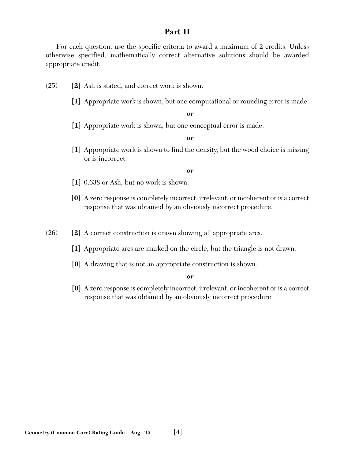# **Part II**

For each question, use the specific criteria to award a maximum of 2 credits. Unless otherwise specified, mathematically correct alternative solutions should be awarded appropriate credit.

- (25) **[2]** Ash is stated, and correct work is shown.
	- **[1]** Appropriate work is shown, but one computational or rounding error is made.

*or*

**[1]** Appropriate work is shown, but one conceptual error is made.

*or*

**[1]** Appropriate work is shown to find the density, but the wood choice is missing or is incorrect.

*or*

- **[1]** 0.638 or Ash, but no work is shown.
- **[0]** A zero response is completely incorrect, irrelevant, or incoherent or is a correct response that was obtained by an obviously incorrect procedure.
- (26) **[2]** A correct construction is drawn showing all appropriate arcs.
	- **[1]** Appropriate arcs are marked on the circle, but the triangle is not drawn.
	- **[0]** A drawing that is not an appropriate construction is shown.

*or*

**[0]** A zero response is completely incorrect, irrelevant, or incoherent or is a correct response that was obtained by an obviously incorrect procedure.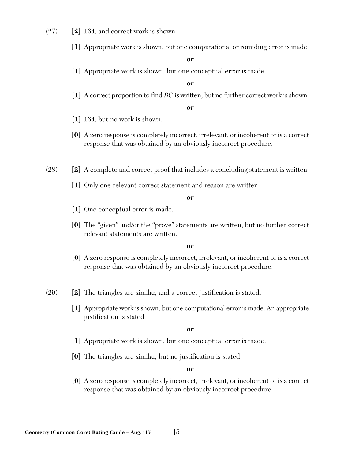- (27) **[2]** 164, and correct work is shown.
	- **[1]** Appropriate work is shown, but one computational or rounding error is made.

*or*

**[1]** Appropriate work is shown, but one conceptual error is made.

*or*

**[1]** A correct proportion to find *BC* is written, but no further correct work is shown.

*or*

- **[1]** 164, but no work is shown.
- **[0]** A zero response is completely incorrect, irrelevant, or incoherent or is a correct response that was obtained by an obviously incorrect procedure.
- (28) **[2]** A complete and correct proof that includes a concluding statement is written.
	- **[1]** Only one relevant correct statement and reason are written.

*or*

- **[1]** One conceptual error is made.
- **[0]** The "given" and/or the "prove" statements are written, but no further correct relevant statements are written.

*or*

- **[0]** A zero response is completely incorrect, irrelevant, or incoherent or is a correct response that was obtained by an obviously incorrect procedure.
- (29) **[2]** The triangles are similar, and a correct justification is stated.
	- **[1]** Appropriate work is shown, but one computational error is made. An appropriate justification is stated.

*or*

- **[1]** Appropriate work is shown, but one conceptual error is made.
- **[0]** The triangles are similar, but no justification is stated.

*or*

**[0]** A zero response is completely incorrect, irrelevant, or incoherent or is a correct response that was obtained by an obviously incorrect procedure.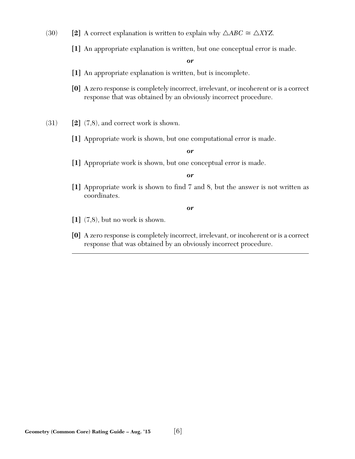- (30) **[2]** A correct explanation is written to explain why  $\triangle ABC \cong \triangle XYZ$ .
	- **[1]** An appropriate explanation is written, but one conceptual error is made.

*or*

- **[1]** An appropriate explanation is written, but is incomplete.
- **[0]** A zero response is completely incorrect, irrelevant, or incoherent or is a correct response that was obtained by an obviously incorrect procedure.
- (31) **[2]** (7,8), and correct work is shown.
	- **[1]** Appropriate work is shown, but one computational error is made.

*or*

**[1]** Appropriate work is shown, but one conceptual error is made.

*or*

**[1]** Appropriate work is shown to find 7 and 8, but the answer is not written as coordinates.

- **[1]** (7,8), but no work is shown.
- **[0]** A zero response is completely incorrect, irrelevant, or incoherent or is a correct response that was obtained by an obviously incorrect procedure.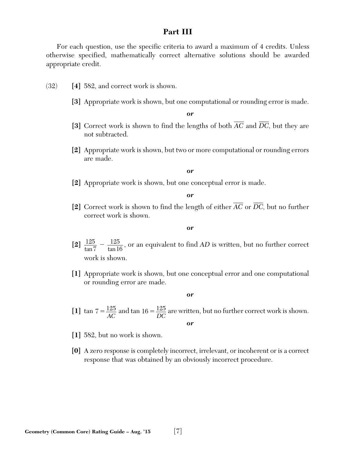# **Part III**

For each question, use the specific criteria to award a maximum of 4 credits. Unless otherwise specified, mathematically correct alternative solutions should be awarded appropriate credit.

- (32) **[4]** 582, and correct work is shown.
	- **[3]** Appropriate work is shown, but one computational or rounding error is made.

*or*

- [3] Correct work is shown to find the lengths of both  $\overline{AC}$  and  $\overline{DC}$ , but they are not subtracted.
- **[2]** Appropriate work is shown, but two or more computational or rounding errors are made.

*or*

**[2]** Appropriate work is shown, but one conceptual error is made.

*or*

[2] Correct work is shown to find the length of either  $\overline{AC}$  or  $\overline{DC}$ , but no further correct work is shown.

*or*

- [2]  $\frac{125}{4} \frac{125}{4}$ , or an equivalent to find AD is written, but no further correct work is shown. 7  $\frac{125}{\tan 7} - \frac{125}{\tan 16}$
- **[1]** Appropriate work is shown, but one conceptual error and one computational or rounding error are made.

- [1]  $\tan 7 = \frac{125}{AC}$  and  $\tan 16 = \frac{125}{DC}$  are written, but no further correct work is shown. *or*
- **[1]** 582, but no work is shown.
- **[0]** A zero response is completely incorrect, irrelevant, or incoherent or is a correct response that was obtained by an obviously incorrect procedure.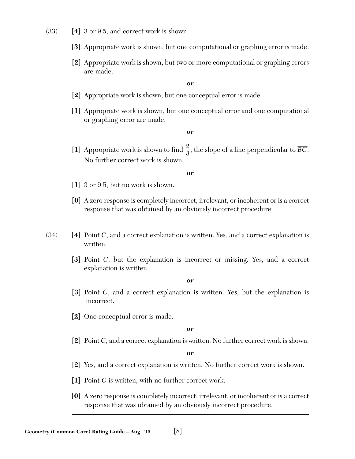- (33) **[4]** 3 or 9.5, and correct work is shown.
	- **[3]** Appropriate work is shown, but one computational or graphing error is made.
	- **[2]** Appropriate work is shown, but two or more computational or graphing errors are made.

*or*

- **[2]** Appropriate work is shown, but one conceptual error is made.
- **[1]** Appropriate work is shown, but one conceptual error and one computational or graphing error are made.

#### *or*

[1] Appropriate work is shown to find  $\frac{2}{3}$ , the slope of a line perpendicular to  $\overline{BC}$ . No further correct work is shown. 3

#### *or*

- **[1]** 3 or 9.5, but no work is shown.
- **[0]** A zero response is completely incorrect, irrelevant, or incoherent or is a correct response that was obtained by an obviously incorrect procedure.
- (34) **[4]** Point *C*, and a correct explanation is written. Yes, and a correct explanation is written.
	- **[3]** Point *C*, but the explanation is incorrect or missing. Yes, and a correct explanation is written.

*or*

- **[3]** Point *C*, and a correct explanation is written. Yes, but the explanation is incorrect.
- **[2]** One conceptual error is made.

*or*

**[2]** Point *C*, and a correct explanation is written. No further correct work is shown.

- **[2]** Yes, and a correct explanation is written. No further correct work is shown.
- **[1]** Point *C* is written, with no further correct work.
- **[0]** A zero response is completely incorrect, irrelevant, or incoherent or is a correct response that was obtained by an obviously incorrect procedure.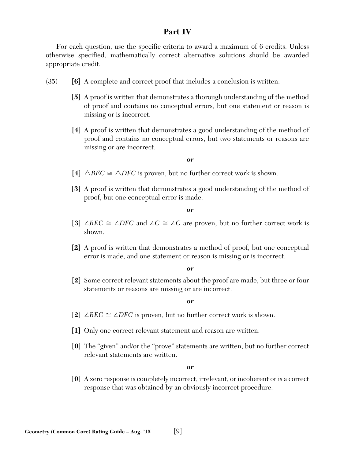# **Part IV**

For each question, use the specific criteria to award a maximum of 6 credits. Unless otherwise specified, mathematically correct alternative solutions should be awarded appropriate credit.

- (35) **[6]** A complete and correct proof that includes a conclusion is written.
	- **[5]** A proof is written that demonstrates a thorough understanding of the method of proof and contains no conceptual errors, but one statement or reason is missing or is incorrect.
	- **[4]** A proof is written that demonstrates a good understanding of the method of proof and contains no conceptual errors, but two statements or reasons are missing or are incorrect.

#### *or*

- [4]  $\triangle BEC \cong \triangle DFC$  is proven, but no further correct work is shown.
- **[3]** A proof is written that demonstrates a good understanding of the method of proof, but one conceptual error is made.

#### *or*

- [3] ∠*BEC*  $\cong$  ∠*DFC* and ∠*C*  $\cong$  ∠*C* are proven, but no further correct work is shown.
- **[2]** A proof is written that demonstrates a method of proof, but one conceptual error is made, and one statement or reason is missing or is incorrect.

#### *or*

**[2]** Some correct relevant statements about the proof are made, but three or four statements or reasons are missing or are incorrect.

#### *or*

- [2] ∠*BEC*  $\cong$  ∠*DFC* is proven, but no further correct work is shown.
- **[1]** Only one correct relevant statement and reason are written.
- **[0]** The "given" and/or the "prove" statements are written, but no further correct relevant statements are written.

#### *or*

**[0]** A zero response is completely incorrect, irrelevant, or incoherent or is a correct response that was obtained by an obviously incorrect procedure.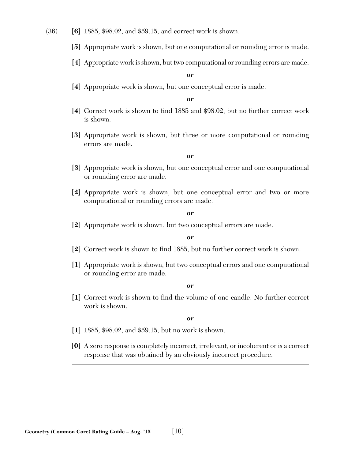#### (36) **[6]** 1885, \$98.02, and \$59.15, and correct work is shown.

- **[5]** Appropriate work is shown, but one computational or rounding error is made.
- **[4]** Appropriate work is shown, but two computational or rounding errors are made.

#### *or*

**[4]** Appropriate work is shown, but one conceptual error is made.

#### *or*

- **[4]** Correct work is shown to find 1885 and \$98.02, but no further correct work is shown.
- **[3]** Appropriate work is shown, but three or more computational or rounding errors are made.

#### *or*

- **[3]** Appropriate work is shown, but one conceptual error and one computational or rounding error are made.
- **[2]** Appropriate work is shown, but one conceptual error and two or more computational or rounding errors are made.

#### *or*

**[2]** Appropriate work is shown, but two conceptual errors are made.

#### *or*

- **[2]** Correct work is shown to find 1885, but no further correct work is shown.
- **[1]** Appropriate work is shown, but two conceptual errors and one computational or rounding error are made.

#### *or*

**[1]** Correct work is shown to find the volume of one candle. No further correct work is shown.

- **[1]** 1885, \$98.02, and \$59.15, but no work is shown.
- **[0]** A zero response is completely incorrect, irrelevant, or incoherent or is a correct response that was obtained by an obviously incorrect procedure.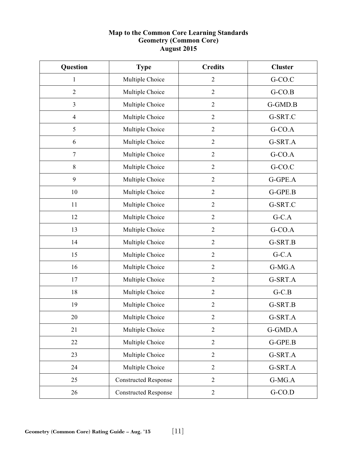# **Map to the Common Core Learning Standards Geometry (Common Core) August 2015**

| Question       | <b>Type</b>                 | <b>Credits</b> | <b>Cluster</b> |
|----------------|-----------------------------|----------------|----------------|
| 1              | Multiple Choice             | $\overline{2}$ | G-CO.C         |
| $\overline{2}$ | Multiple Choice             | $\overline{2}$ | $G-CO.B$       |
| $\overline{3}$ | Multiple Choice             | $\overline{2}$ | G-GMD.B        |
| $\overline{4}$ | Multiple Choice             | $\overline{2}$ | G-SRT.C        |
| 5              | Multiple Choice             | $\sqrt{2}$     | $G-CO.A$       |
| 6              | Multiple Choice             | $\sqrt{2}$     | G-SRT.A        |
| 7              | Multiple Choice             | $\overline{2}$ | G-CO.A         |
| $8\,$          | Multiple Choice             | $\overline{2}$ | G-CO.C         |
| 9              | Multiple Choice             | $\overline{2}$ | G-GPE.A        |
| 10             | Multiple Choice             | $\sqrt{2}$     | G-GPE.B        |
| 11             | Multiple Choice             | $\mathfrak{2}$ | G-SRT.C        |
| 12             | Multiple Choice             | $\mathfrak{2}$ | $G-C.A$        |
| 13             | Multiple Choice             | $\overline{2}$ | G-CO.A         |
| 14             | Multiple Choice             | $\overline{2}$ | G-SRT.B        |
| 15             | Multiple Choice             | $\sqrt{2}$     | $G-C.A$        |
| 16             | Multiple Choice             | $\sqrt{2}$     | G-MG.A         |
| 17             | Multiple Choice             | $\sqrt{2}$     | G-SRT.A        |
| 18             | Multiple Choice             | $\overline{2}$ | $G-C.B$        |
| 19             | Multiple Choice             | $\overline{2}$ | G-SRT.B        |
| 20             | Multiple Choice             | $\overline{c}$ | G-SRT.A        |
| 21             | Multiple Choice             | $\sqrt{2}$     | G-GMD.A        |
| 22             | Multiple Choice             | $\overline{2}$ | G-GPE.B        |
| 23             | Multiple Choice             | $\overline{2}$ | G-SRT.A        |
| 24             | Multiple Choice             | $\overline{2}$ | G-SRT.A        |
| 25             | <b>Constructed Response</b> | $\sqrt{2}$     | $G-MG.A$       |
| 26             | <b>Constructed Response</b> | $\sqrt{2}$     | $G$ -CO.D      |